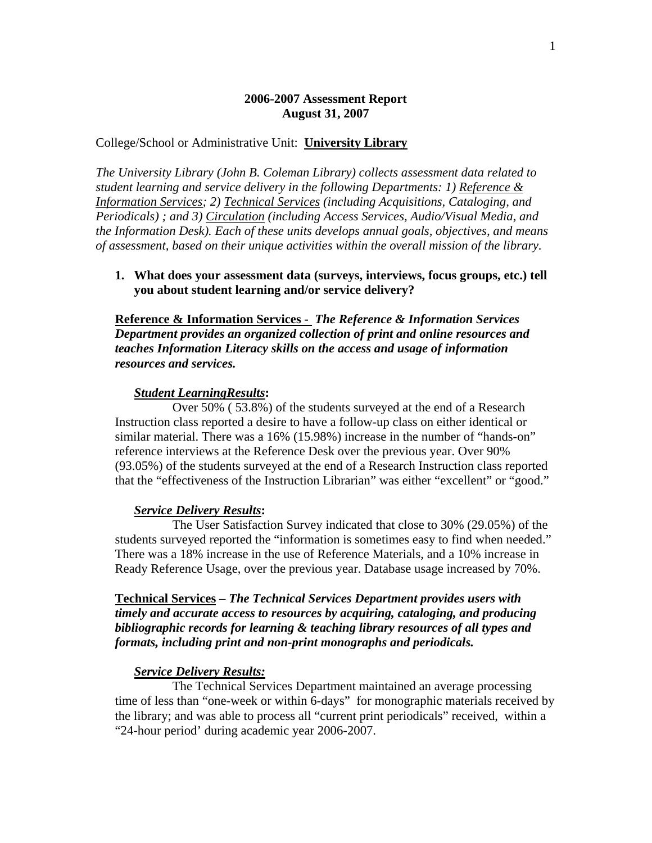# **2006-2007 Assessment Report August 31, 2007**

### College/School or Administrative Unit: **University Library**

*The University Library (John B. Coleman Library) collects assessment data related to student learning and service delivery in the following Departments: 1) Reference & Information Services; 2) Technical Services (including Acquisitions, Cataloging, and Periodicals) ; and 3) Circulation (including Access Services, Audio/Visual Media, and the Information Desk). Each of these units develops annual goals, objectives, and means of assessment, based on their unique activities within the overall mission of the library.* 

**1. What does your assessment data (surveys, interviews, focus groups, etc.) tell you about student learning and/or service delivery?** 

**Reference & Information Services -** *The Reference & Information Services Department provides an organized collection of print and online resources and teaches Information Literacy skills on the access and usage of information resources and services.* 

### *Student LearningResults***:**

Over 50% ( 53.8%) of the students surveyed at the end of a Research Instruction class reported a desire to have a follow-up class on either identical or similar material. There was a 16% (15.98%) increase in the number of "hands-on" reference interviews at the Reference Desk over the previous year. Over 90% (93.05%) of the students surveyed at the end of a Research Instruction class reported that the "effectiveness of the Instruction Librarian" was either "excellent" or "good."

## *Service Delivery Results***:**

The User Satisfaction Survey indicated that close to 30% (29.05%) of the students surveyed reported the "information is sometimes easy to find when needed." There was a 18% increase in the use of Reference Materials, and a 10% increase in Ready Reference Usage, over the previous year. Database usage increased by 70%.

**Technical Services –** *The Technical Services Department provides users with timely and accurate access to resources by acquiring, cataloging, and producing bibliographic records for learning & teaching library resources of all types and formats, including print and non-print monographs and periodicals.* 

#### *Service Delivery Results:*

 The Technical Services Department maintained an average processing time of less than "one-week or within 6-days" for monographic materials received by the library; and was able to process all "current print periodicals" received, within a "24-hour period' during academic year 2006-2007.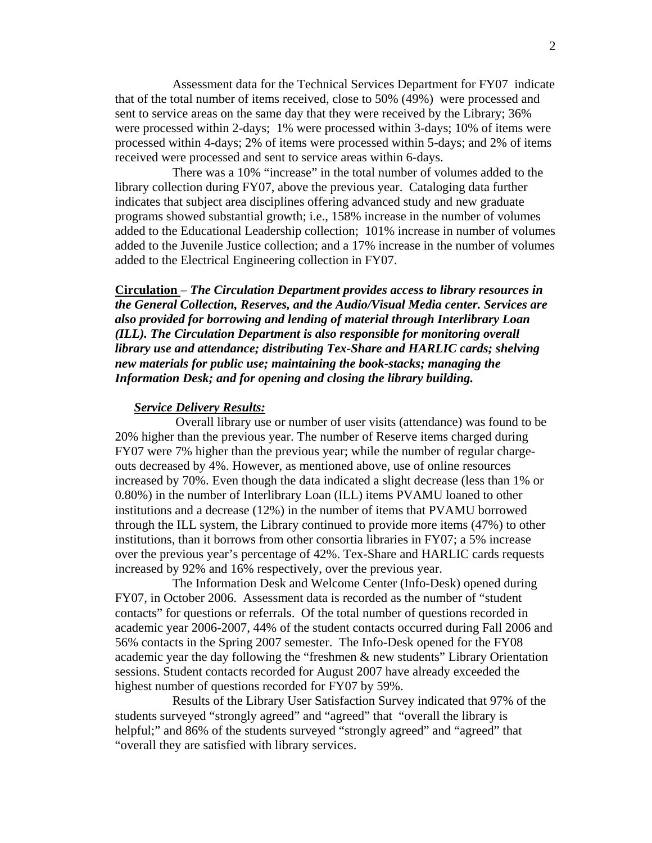Assessment data for the Technical Services Department for FY07 indicate that of the total number of items received, close to 50% (49%) were processed and sent to service areas on the same day that they were received by the Library; 36% were processed within 2-days; 1% were processed within 3-days; 10% of items were processed within 4-days; 2% of items were processed within 5-days; and 2% of items received were processed and sent to service areas within 6-days.

 There was a 10% "increase" in the total number of volumes added to the library collection during FY07, above the previous year. Cataloging data further indicates that subject area disciplines offering advanced study and new graduate programs showed substantial growth; i.e., 158% increase in the number of volumes added to the Educational Leadership collection; 101% increase in number of volumes added to the Juvenile Justice collection; and a 17% increase in the number of volumes added to the Electrical Engineering collection in FY07.

**Circulation** – *The Circulation Department provides access to library resources in the General Collection, Reserves, and the Audio/Visual Media center. Services are also provided for borrowing and lending of material through Interlibrary Loan (ILL). The Circulation Department is also responsible for monitoring overall library use and attendance; distributing Tex-Share and HARLIC cards; shelving new materials for public use; maintaining the book-stacks; managing the Information Desk; and for opening and closing the library building.* 

#### *Service Delivery Results:*

 Overall library use or number of user visits (attendance) was found to be 20% higher than the previous year. The number of Reserve items charged during FY07 were 7% higher than the previous year; while the number of regular chargeouts decreased by 4%. However, as mentioned above, use of online resources increased by 70%. Even though the data indicated a slight decrease (less than 1% or 0.80%) in the number of Interlibrary Loan (ILL) items PVAMU loaned to other institutions and a decrease (12%) in the number of items that PVAMU borrowed through the ILL system, the Library continued to provide more items (47%) to other institutions, than it borrows from other consortia libraries in FY07; a 5% increase over the previous year's percentage of 42%. Tex-Share and HARLIC cards requests increased by 92% and 16% respectively, over the previous year.

 The Information Desk and Welcome Center (Info-Desk) opened during FY07, in October 2006. Assessment data is recorded as the number of "student contacts" for questions or referrals. Of the total number of questions recorded in academic year 2006-2007, 44% of the student contacts occurred during Fall 2006 and 56% contacts in the Spring 2007 semester. The Info-Desk opened for the FY08 academic year the day following the "freshmen & new students" Library Orientation sessions. Student contacts recorded for August 2007 have already exceeded the highest number of questions recorded for FY07 by 59%.

 Results of the Library User Satisfaction Survey indicated that 97% of the students surveyed "strongly agreed" and "agreed" that "overall the library is helpful;" and 86% of the students surveyed "strongly agreed" and "agreed" that "overall they are satisfied with library services.